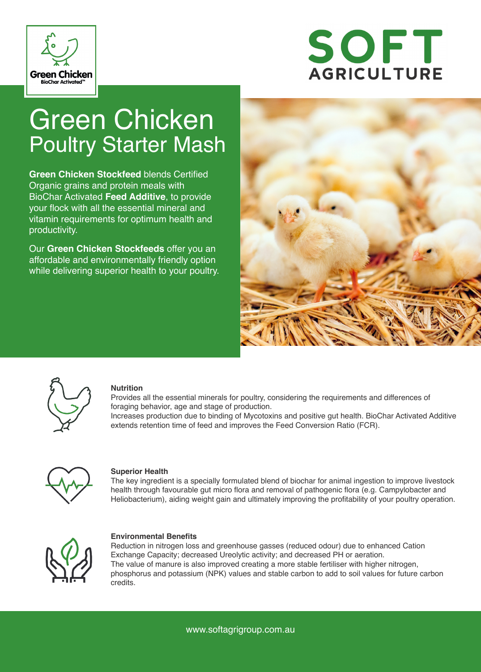

# SOFT **AGRICULTURE**

## Green Chicken Poultry Starter Mash

**Green Chicken Stockfeed** blends Certified Organic grains and protein meals with BioChar Activated **Feed Additive**, to provide your flock with all the essential mineral and vitamin requirements for optimum health and productivity.

Our **Green Chicken Stockfeeds** offer you an affordable and environmentally friendly option while delivering superior health to your poultry.





#### **Nutrition**

Provides all the essential minerals for poultry, considering the requirements and differences of foraging behavior, age and stage of production.

Increases production due to binding of Mycotoxins and positive gut health. BioChar Activated Additive extends retention time of feed and improves the Feed Conversion Ratio (FCR).



#### **Superior Health**

The key ingredient is a specially formulated blend of biochar for animal ingestion to improve livestock health through favourable gut micro flora and removal of pathogenic flora (e.g. Campylobacter and Heliobacterium), aiding weight gain and ultimately improving the profitability of your poultry operation.



#### **Environmental Benefits**

Reduction in nitrogen loss and greenhouse gasses (reduced odour) due to enhanced Cation Exchange Capacity; decreased Ureolytic activity; and decreased PH or aeration. The value of manure is also improved creating a more stable fertiliser with higher nitrogen, phosphorus and potassium (NPK) values and stable carbon to add to soil values for future carbon credits.